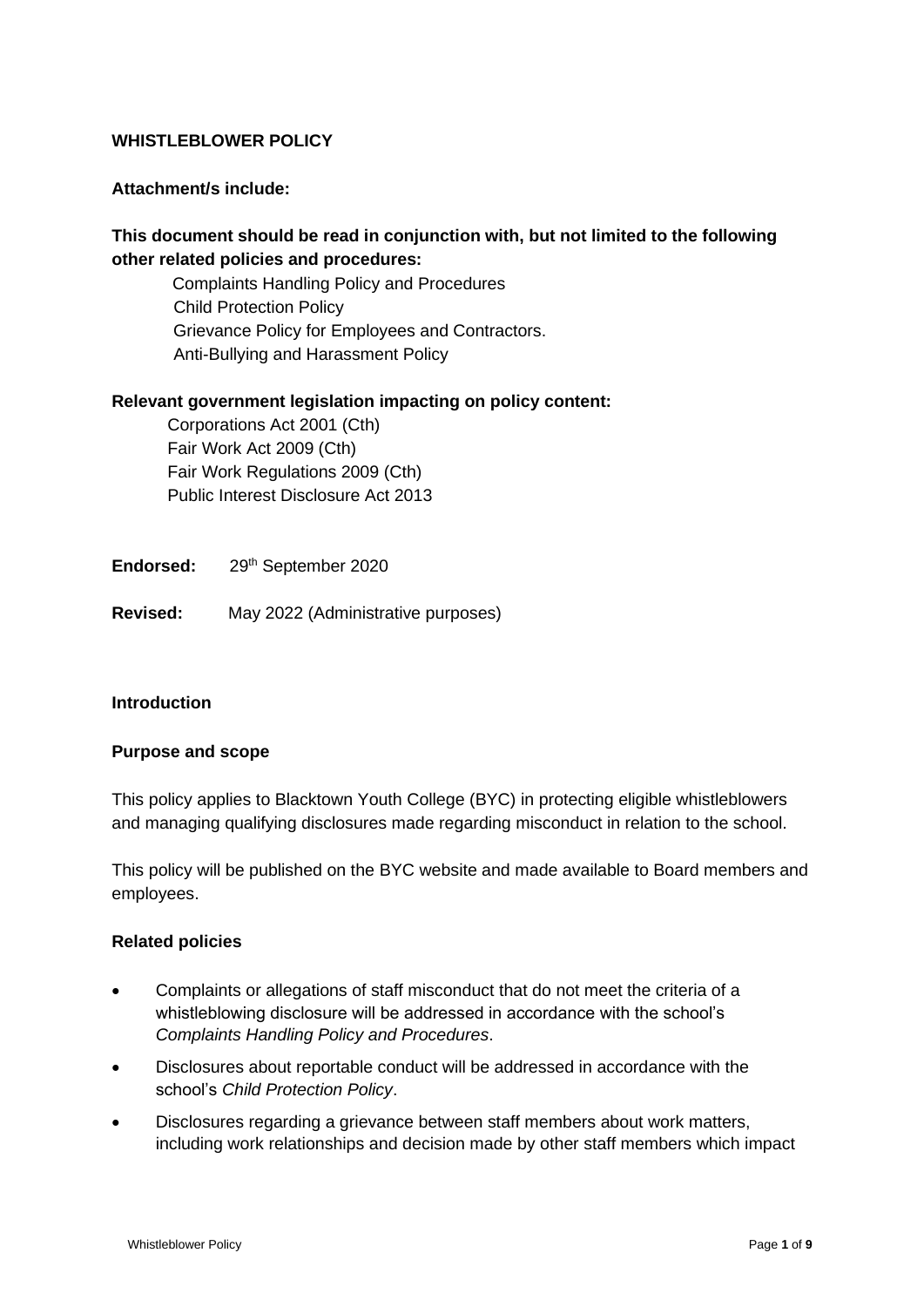### **WHISTLEBLOWER POLICY**

#### **Attachment/s include:**

## **This document should be read in conjunction with, but not limited to the following other related policies and procedures:**

Complaints Handling Policy and Procedures **Child Protection Policy**  Grievance Policy for Employees and Contractors. Anti-Bullying and Harassment Policy

#### **Relevant government legislation impacting on policy content:**

Corporations Act 2001 (Cth) Fair Work Act 2009 (Cth) Fair Work Regulations 2009 (Cth) Public Interest Disclosure Act 2013

**Endorsed:** 29th September 2020

#### **Revised:** May 2022 (Administrative purposes)

#### **Introduction**

#### **Purpose and scope**

This policy applies to Blacktown Youth College (BYC) in protecting eligible whistleblowers and managing qualifying disclosures made regarding misconduct in relation to the school.

This policy will be published on the BYC website and made available to Board members and employees.

#### **Related policies**

- Complaints or allegations of staff misconduct that do not meet the criteria of a whistleblowing disclosure will be addressed in accordance with the school's *Complaints Handling Policy and Procedures*.
- Disclosures about reportable conduct will be addressed in accordance with the school's *Child Protection Policy*.
- Disclosures regarding a grievance between staff members about work matters, including work relationships and decision made by other staff members which impact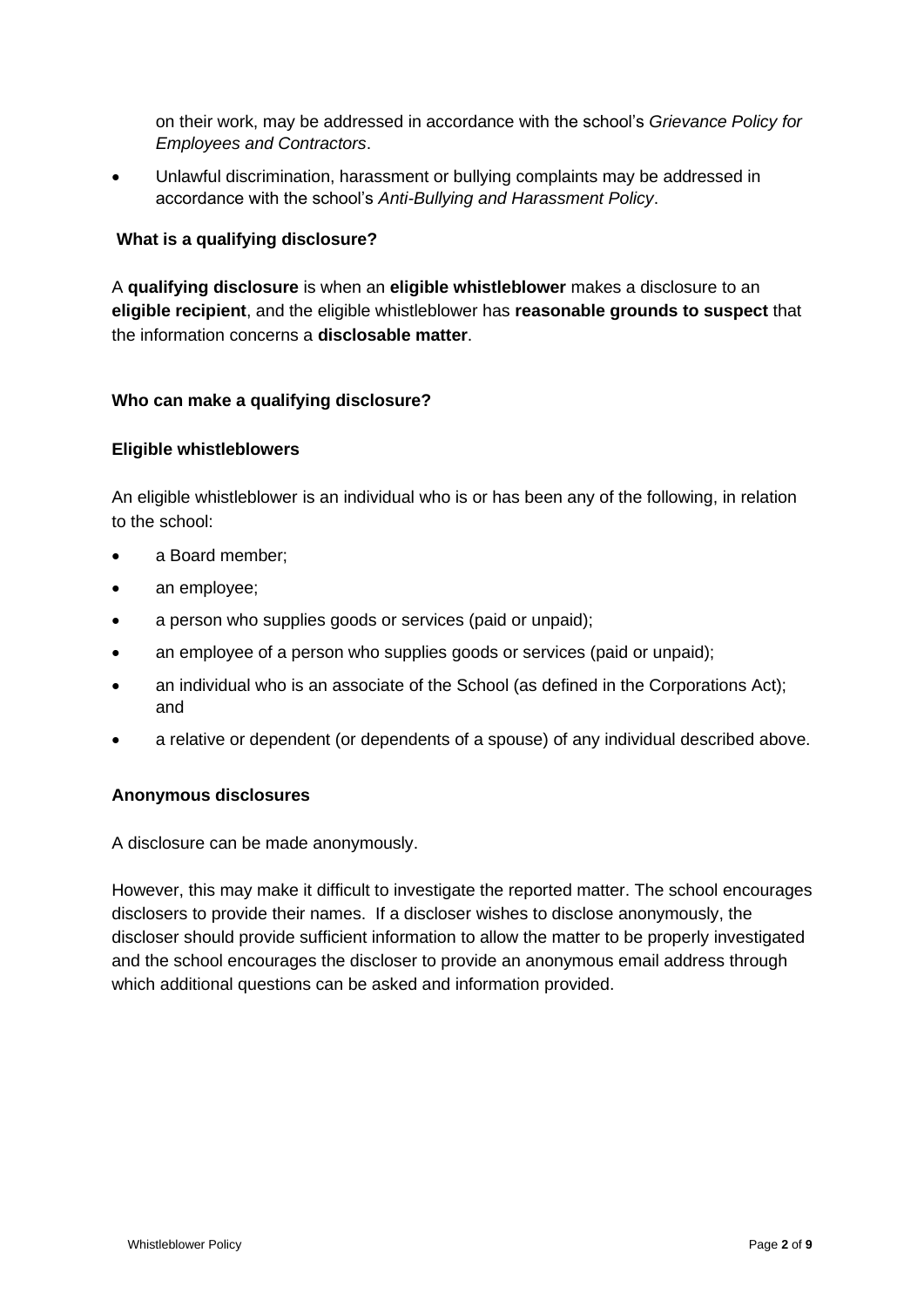on their work, may be addressed in accordance with the school's *Grievance Policy for Employees and Contractors*.

• Unlawful discrimination, harassment or bullying complaints may be addressed in accordance with the school's *Anti-Bullying and Harassment Policy*.

### **What is a qualifying disclosure?**

A **qualifying disclosure** is when an **eligible whistleblower** makes a disclosure to an **eligible recipient**, and the eligible whistleblower has **reasonable grounds to suspect** that the information concerns a **disclosable matter**.

## **Who can make a qualifying disclosure?**

### **Eligible whistleblowers**

An eligible whistleblower is an individual who is or has been any of the following, in relation to the school:

- a Board member;
- an employee;
- a person who supplies goods or services (paid or unpaid);
- an employee of a person who supplies goods or services (paid or unpaid);
- an individual who is an associate of the School (as defined in the Corporations Act); and
- a relative or dependent (or dependents of a spouse) of any individual described above.

### **Anonymous disclosures**

A disclosure can be made anonymously.

However, this may make it difficult to investigate the reported matter. The school encourages disclosers to provide their names. If a discloser wishes to disclose anonymously, the discloser should provide sufficient information to allow the matter to be properly investigated and the school encourages the discloser to provide an anonymous email address through which additional questions can be asked and information provided.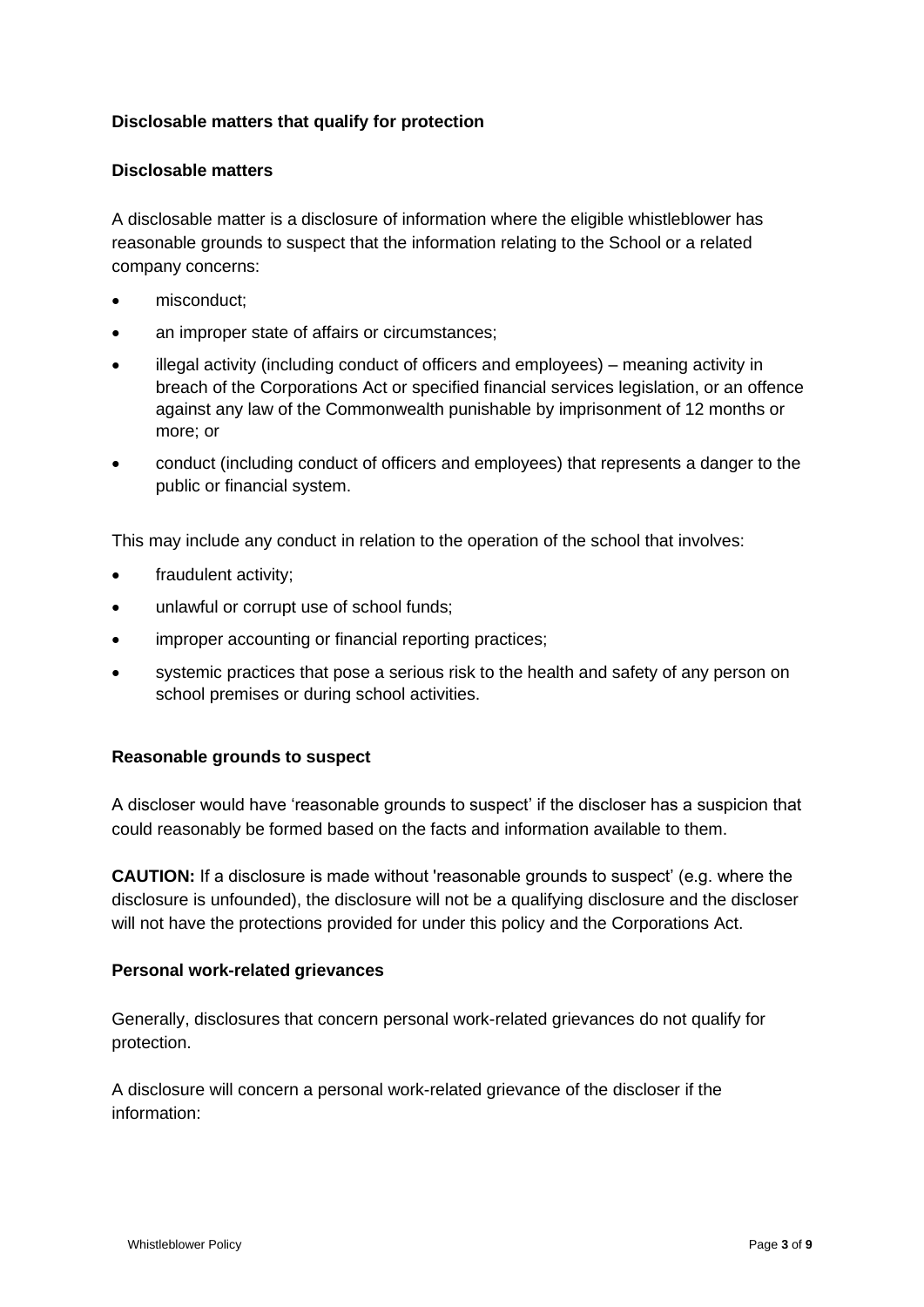## **Disclosable matters that qualify for protection**

#### **Disclosable matters**

A disclosable matter is a disclosure of information where the eligible whistleblower has reasonable grounds to suspect that the information relating to the School or a related company concerns:

- misconduct:
- an improper state of affairs or circumstances;
- illegal activity (including conduct of officers and employees) meaning activity in breach of the Corporations Act or specified financial services legislation, or an offence against any law of the Commonwealth punishable by imprisonment of 12 months or more; or
- conduct (including conduct of officers and employees) that represents a danger to the public or financial system.

This may include any conduct in relation to the operation of the school that involves:

- fraudulent activity;
- unlawful or corrupt use of school funds;
- improper accounting or financial reporting practices;
- systemic practices that pose a serious risk to the health and safety of any person on school premises or during school activities.

#### **Reasonable grounds to suspect**

A discloser would have 'reasonable grounds to suspect' if the discloser has a suspicion that could reasonably be formed based on the facts and information available to them.

**CAUTION:** If a disclosure is made without 'reasonable grounds to suspect' (e.g. where the disclosure is unfounded), the disclosure will not be a qualifying disclosure and the discloser will not have the protections provided for under this policy and the Corporations Act.

### **Personal work-related grievances**

Generally, disclosures that concern personal work-related grievances do not qualify for protection.

A disclosure will concern a personal work-related grievance of the discloser if the information: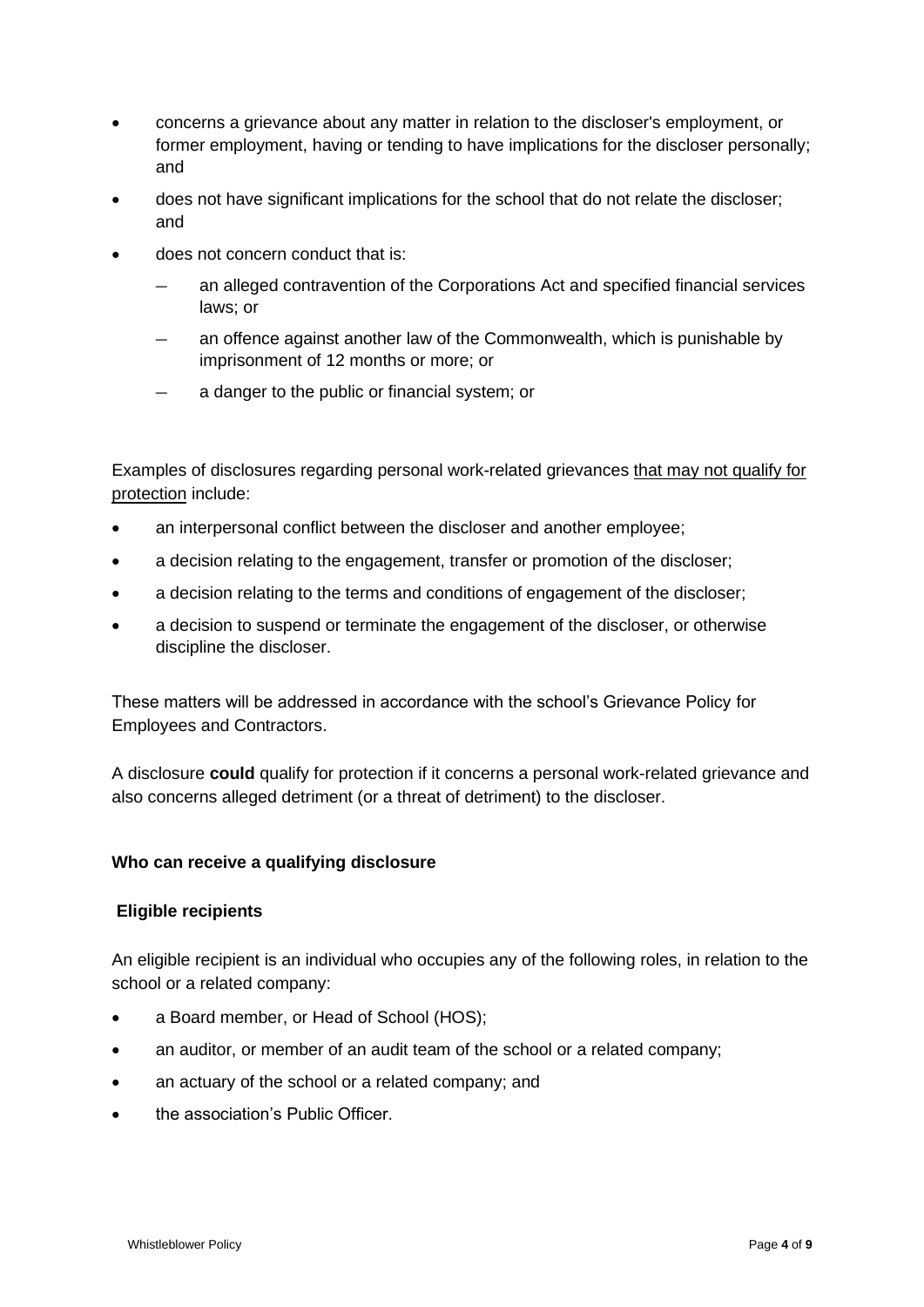- concerns a grievance about any matter in relation to the discloser's employment, or former employment, having or tending to have implications for the discloser personally; and
- does not have significant implications for the school that do not relate the discloser; and
- does not concern conduct that is:
	- ― an alleged contravention of the Corporations Act and specified financial services laws; or
	- an offence against another law of the Commonwealth, which is punishable by imprisonment of 12 months or more; or
	- a danger to the public or financial system; or

Examples of disclosures regarding personal work-related grievances that may not qualify for protection include:

- an interpersonal conflict between the discloser and another employee;
- a decision relating to the engagement, transfer or promotion of the discloser;
- a decision relating to the terms and conditions of engagement of the discloser;
- a decision to suspend or terminate the engagement of the discloser, or otherwise discipline the discloser.

These matters will be addressed in accordance with the school's Grievance Policy for Employees and Contractors.

A disclosure **could** qualify for protection if it concerns a personal work-related grievance and also concerns alleged detriment (or a threat of detriment) to the discloser.

### **Who can receive a qualifying disclosure**

### **Eligible recipients**

An eligible recipient is an individual who occupies any of the following roles, in relation to the school or a related company:

- a Board member, or Head of School (HOS);
- an auditor, or member of an audit team of the school or a related company;
- an actuary of the school or a related company; and
- the association's Public Officer.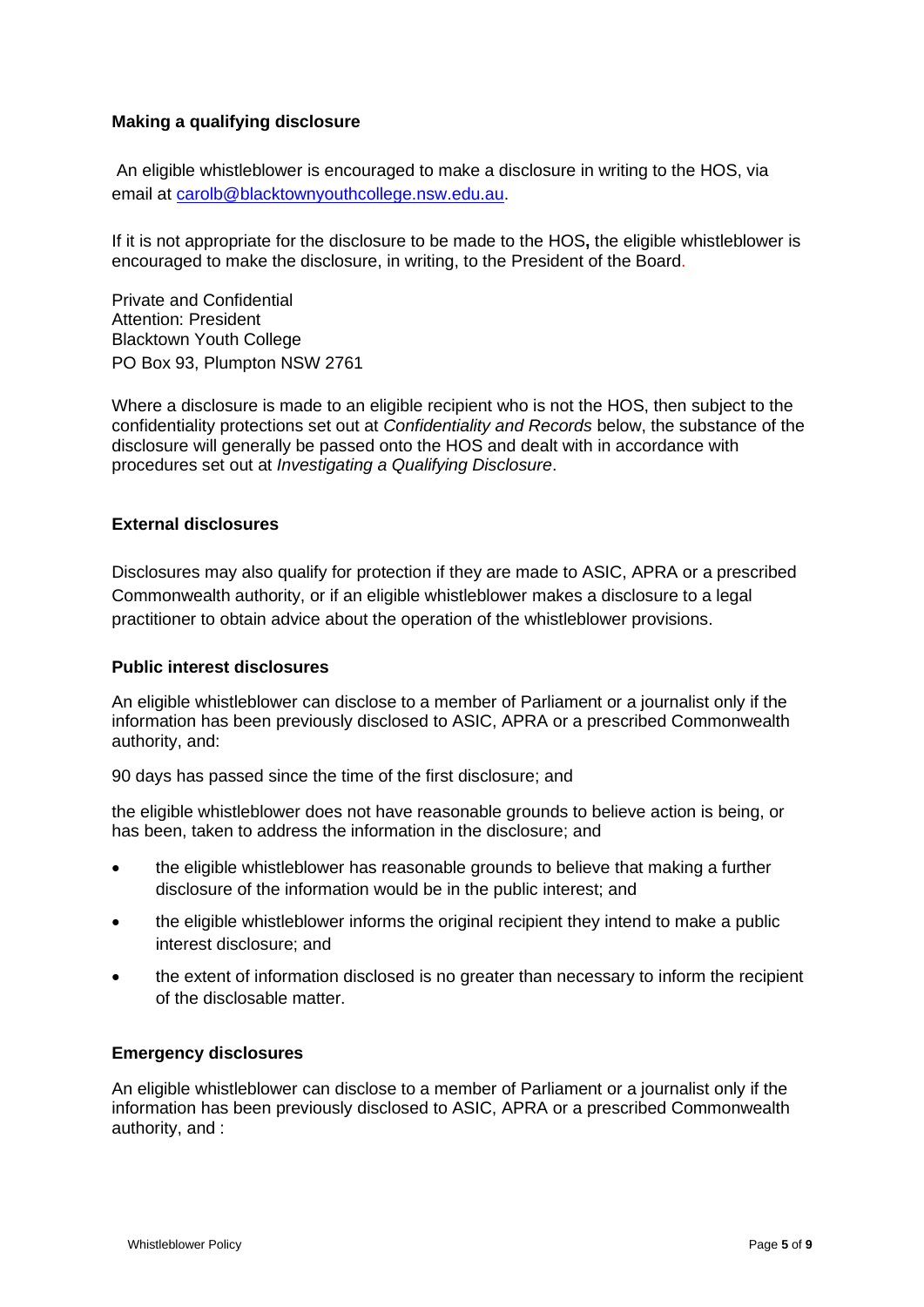### **Making a qualifying disclosure**

An eligible whistleblower is encouraged to make a disclosure in writing to the HOS, via email at [carolb@blacktownyouthcollege.nsw.edu.au.](mailto:carolb@blacktownyouthcollege.nsw.edu.au)

If it is not appropriate for the disclosure to be made to the HOS**,** the eligible whistleblower is encouraged to make the disclosure, in writing, to the President of the Board.

Private and Confidential Attention: President Blacktown Youth College PO Box 93, Plumpton NSW 2761

Where a disclosure is made to an eligible recipient who is not the HOS, then subject to the confidentiality protections set out at *Confidentiality and Records* below, the substance of the disclosure will generally be passed onto the HOS and dealt with in accordance with procedures set out at *Investigating a Qualifying Disclosure*.

### **External disclosures**

Disclosures may also qualify for protection if they are made to ASIC, APRA or a prescribed Commonwealth authority, or if an eligible whistleblower makes a disclosure to a legal practitioner to obtain advice about the operation of the whistleblower provisions.

#### **Public interest disclosures**

An eligible whistleblower can disclose to a member of Parliament or a journalist only if the information has been previously disclosed to ASIC, APRA or a prescribed Commonwealth authority, and:

90 days has passed since the time of the first disclosure; and

the eligible whistleblower does not have reasonable grounds to believe action is being, or has been, taken to address the information in the disclosure; and

- the eligible whistleblower has reasonable grounds to believe that making a further disclosure of the information would be in the public interest; and
- the eligible whistleblower informs the original recipient they intend to make a public interest disclosure; and
- the extent of information disclosed is no greater than necessary to inform the recipient of the disclosable matter.

#### **Emergency disclosures**

An eligible whistleblower can disclose to a member of Parliament or a journalist only if the information has been previously disclosed to ASIC, APRA or a prescribed Commonwealth authority, and :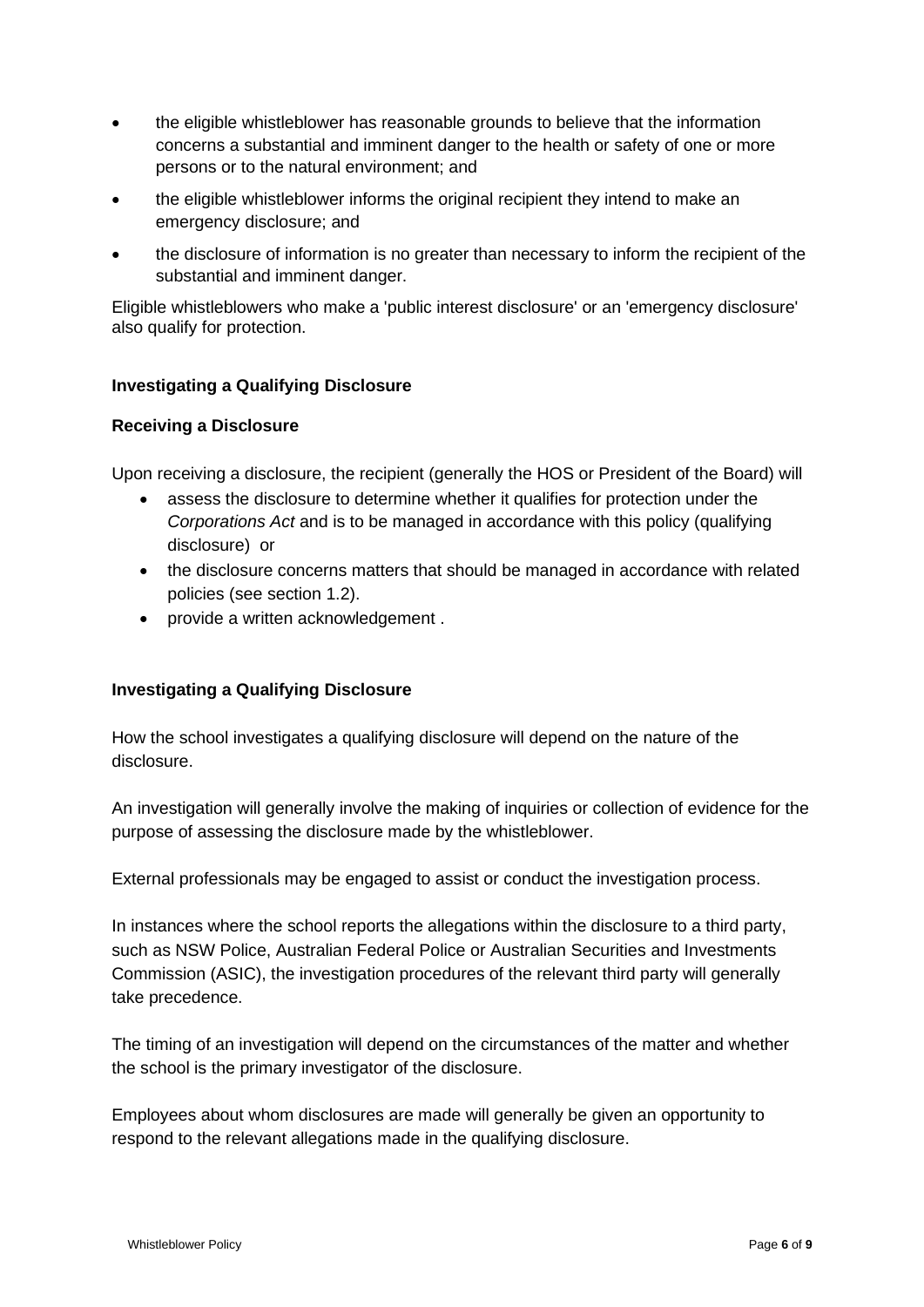- the eligible whistleblower has reasonable grounds to believe that the information concerns a substantial and imminent danger to the health or safety of one or more persons or to the natural environment; and
- the eligible whistleblower informs the original recipient they intend to make an emergency disclosure; and
- the disclosure of information is no greater than necessary to inform the recipient of the substantial and imminent danger.

Eligible whistleblowers who make a 'public interest disclosure' or an 'emergency disclosure' also qualify for protection.

## **Investigating a Qualifying Disclosure**

### **Receiving a Disclosure**

Upon receiving a disclosure, the recipient (generally the HOS or President of the Board) will

- assess the disclosure to determine whether it qualifies for protection under the *Corporations Act* and is to be managed in accordance with this policy (qualifying disclosure) or
- the disclosure concerns matters that should be managed in accordance with related policies (see section 1.2).
- provide a written acknowledgement .

## **Investigating a Qualifying Disclosure**

How the school investigates a qualifying disclosure will depend on the nature of the disclosure.

An investigation will generally involve the making of inquiries or collection of evidence for the purpose of assessing the disclosure made by the whistleblower.

External professionals may be engaged to assist or conduct the investigation process.

In instances where the school reports the allegations within the disclosure to a third party, such as NSW Police, Australian Federal Police or Australian Securities and Investments Commission (ASIC), the investigation procedures of the relevant third party will generally take precedence.

The timing of an investigation will depend on the circumstances of the matter and whether the school is the primary investigator of the disclosure.

Employees about whom disclosures are made will generally be given an opportunity to respond to the relevant allegations made in the qualifying disclosure.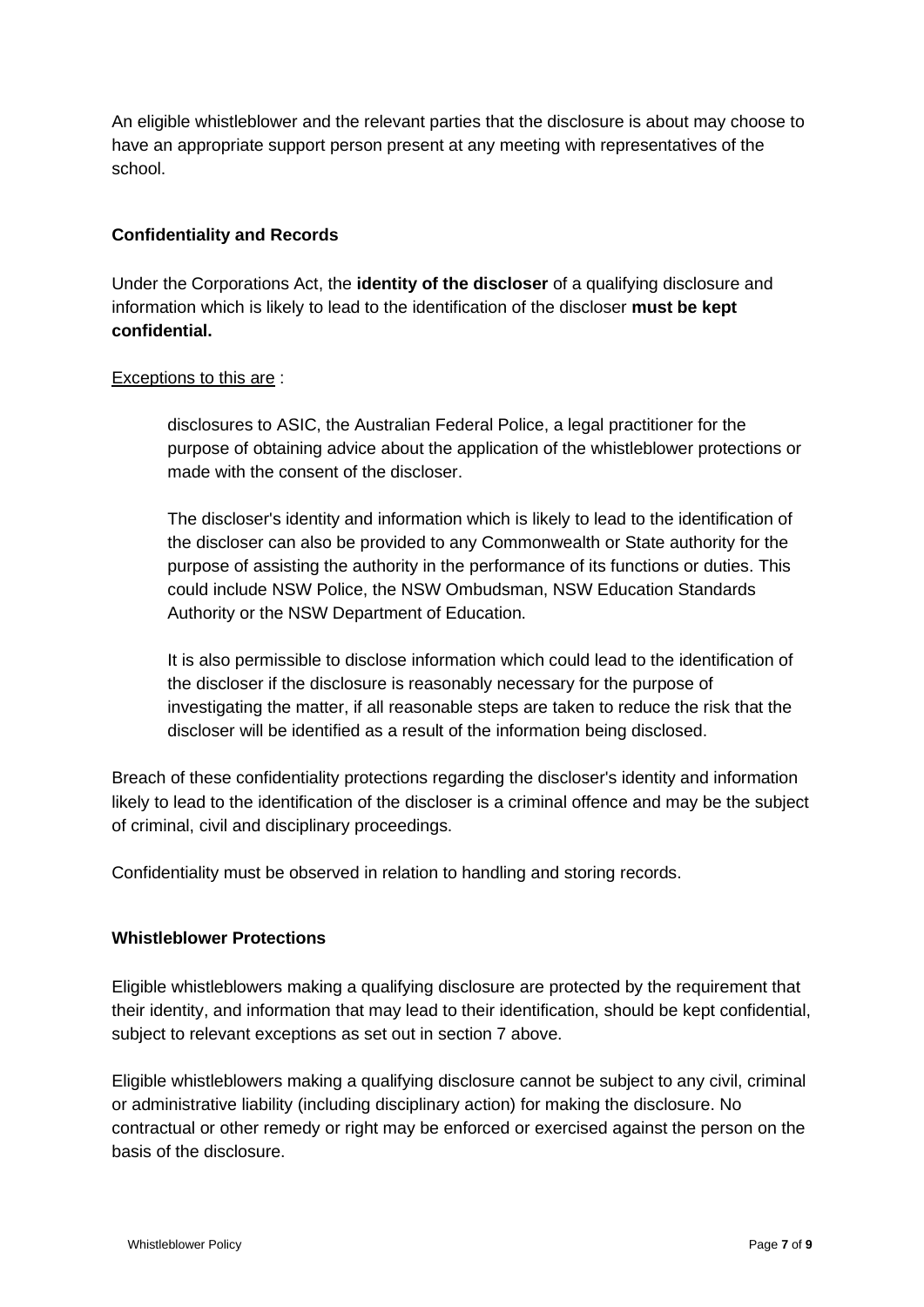An eligible whistleblower and the relevant parties that the disclosure is about may choose to have an appropriate support person present at any meeting with representatives of the school.

## **Confidentiality and Records**

Under the Corporations Act, the **identity of the discloser** of a qualifying disclosure and information which is likely to lead to the identification of the discloser **must be kept confidential.** 

#### Exceptions to this are :

disclosures to ASIC, the Australian Federal Police, a legal practitioner for the purpose of obtaining advice about the application of the whistleblower protections or made with the consent of the discloser.

The discloser's identity and information which is likely to lead to the identification of the discloser can also be provided to any Commonwealth or State authority for the purpose of assisting the authority in the performance of its functions or duties. This could include NSW Police, the NSW Ombudsman, NSW Education Standards Authority or the NSW Department of Education.

It is also permissible to disclose information which could lead to the identification of the discloser if the disclosure is reasonably necessary for the purpose of investigating the matter, if all reasonable steps are taken to reduce the risk that the discloser will be identified as a result of the information being disclosed.

Breach of these confidentiality protections regarding the discloser's identity and information likely to lead to the identification of the discloser is a criminal offence and may be the subject of criminal, civil and disciplinary proceedings.

Confidentiality must be observed in relation to handling and storing records.

### **Whistleblower Protections**

Eligible whistleblowers making a qualifying disclosure are protected by the requirement that their identity, and information that may lead to their identification, should be kept confidential, subject to relevant exceptions as set out in section 7 above.

Eligible whistleblowers making a qualifying disclosure cannot be subject to any civil, criminal or administrative liability (including disciplinary action) for making the disclosure. No contractual or other remedy or right may be enforced or exercised against the person on the basis of the disclosure.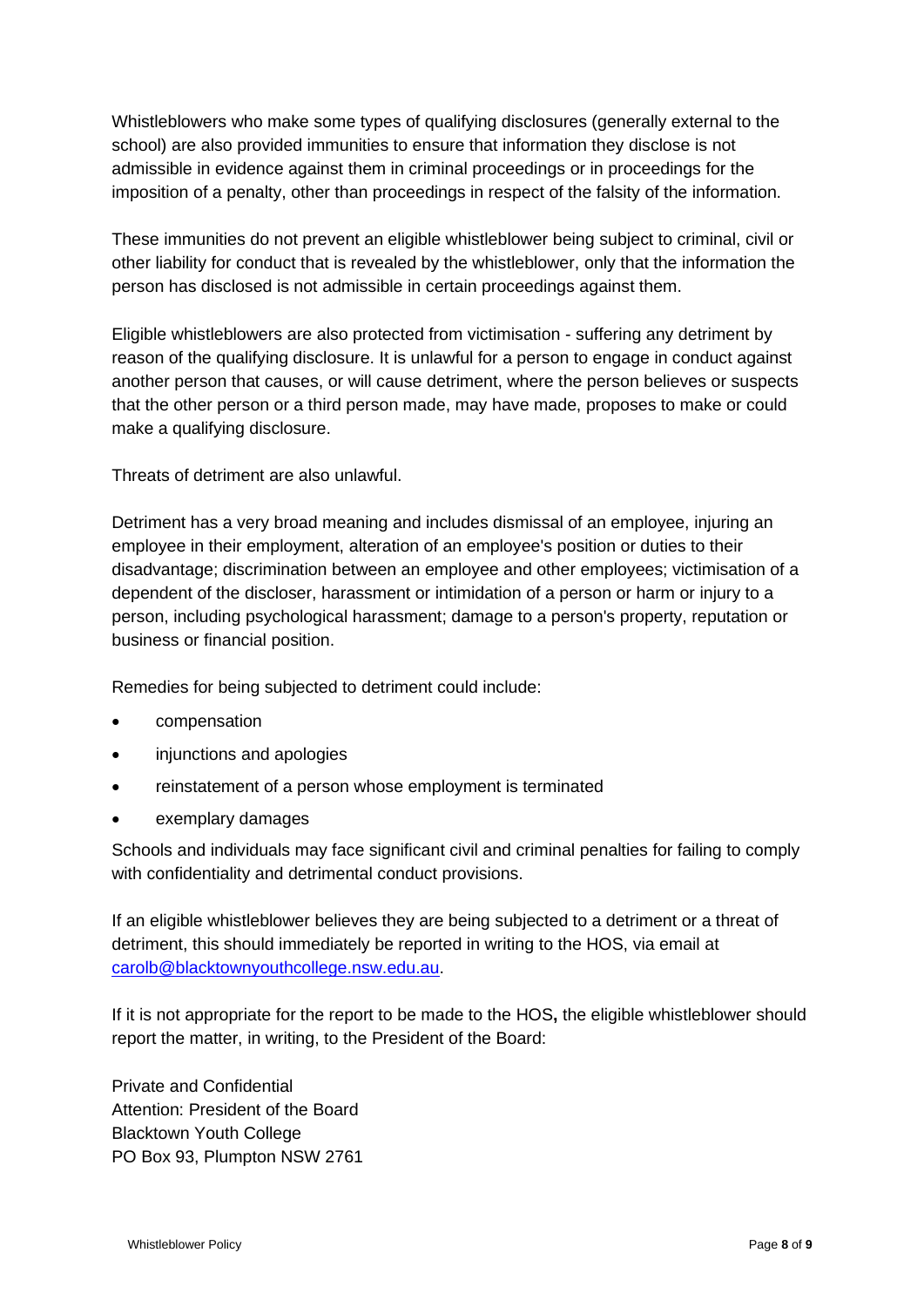Whistleblowers who make some types of qualifying disclosures (generally external to the school) are also provided immunities to ensure that information they disclose is not admissible in evidence against them in criminal proceedings or in proceedings for the imposition of a penalty, other than proceedings in respect of the falsity of the information.

These immunities do not prevent an eligible whistleblower being subject to criminal, civil or other liability for conduct that is revealed by the whistleblower, only that the information the person has disclosed is not admissible in certain proceedings against them.

Eligible whistleblowers are also protected from victimisation - suffering any detriment by reason of the qualifying disclosure. It is unlawful for a person to engage in conduct against another person that causes, or will cause detriment, where the person believes or suspects that the other person or a third person made, may have made, proposes to make or could make a qualifying disclosure.

Threats of detriment are also unlawful.

Detriment has a very broad meaning and includes dismissal of an employee, injuring an employee in their employment, alteration of an employee's position or duties to their disadvantage; discrimination between an employee and other employees; victimisation of a dependent of the discloser, harassment or intimidation of a person or harm or injury to a person, including psychological harassment; damage to a person's property, reputation or business or financial position.

Remedies for being subjected to detriment could include:

- compensation
- injunctions and apologies
- reinstatement of a person whose employment is terminated
- exemplary damages

Schools and individuals may face significant civil and criminal penalties for failing to comply with confidentiality and detrimental conduct provisions.

If an eligible whistleblower believes they are being subjected to a detriment or a threat of detriment, this should immediately be reported in writing to the HOS, via email at [carolb@blacktownyouthcollege.nsw.edu.au.](mailto:carolb@blacktownyouthcollege.nsw.edu.au)

If it is not appropriate for the report to be made to the HOS**,** the eligible whistleblower should report the matter, in writing, to the President of the Board:

Private and Confidential Attention: President of the Board Blacktown Youth College PO Box 93, Plumpton NSW 2761